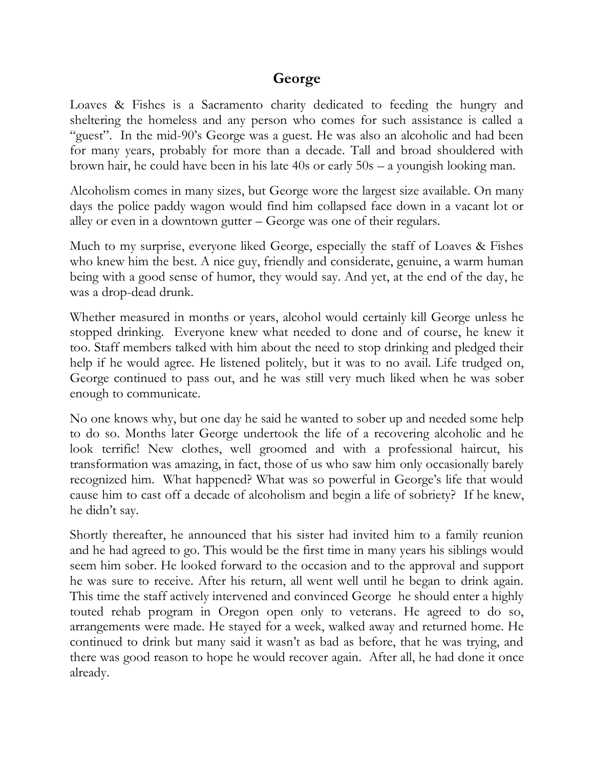## **George**

Loaves & Fishes is a Sacramento charity dedicated to feeding the hungry and sheltering the homeless and any person who comes for such assistance is called a "guest". In the mid-90's George was a guest. He was also an alcoholic and had been for many years, probably for more than a decade. Tall and broad shouldered with brown hair, he could have been in his late 40s or early 50s – a youngish looking man.

Alcoholism comes in many sizes, but George wore the largest size available. On many days the police paddy wagon would find him collapsed face down in a vacant lot or alley or even in a downtown gutter – George was one of their regulars.

Much to my surprise, everyone liked George, especially the staff of Loaves & Fishes who knew him the best. A nice guy, friendly and considerate, genuine, a warm human being with a good sense of humor, they would say. And yet, at the end of the day, he was a drop-dead drunk.

Whether measured in months or years, alcohol would certainly kill George unless he stopped drinking. Everyone knew what needed to done and of course, he knew it too. Staff members talked with him about the need to stop drinking and pledged their help if he would agree. He listened politely, but it was to no avail. Life trudged on, George continued to pass out, and he was still very much liked when he was sober enough to communicate.

No one knows why, but one day he said he wanted to sober up and needed some help to do so. Months later George undertook the life of a recovering alcoholic and he look terrific! New clothes, well groomed and with a professional haircut, his transformation was amazing, in fact, those of us who saw him only occasionally barely recognized him. What happened? What was so powerful in George's life that would cause him to cast off a decade of alcoholism and begin a life of sobriety? If he knew, he didn't say.

Shortly thereafter, he announced that his sister had invited him to a family reunion and he had agreed to go. This would be the first time in many years his siblings would seem him sober. He looked forward to the occasion and to the approval and support he was sure to receive. After his return, all went well until he began to drink again. This time the staff actively intervened and convinced George he should enter a highly touted rehab program in Oregon open only to veterans. He agreed to do so, arrangements were made. He stayed for a week, walked away and returned home. He continued to drink but many said it wasn't as bad as before, that he was trying, and there was good reason to hope he would recover again. After all, he had done it once already.